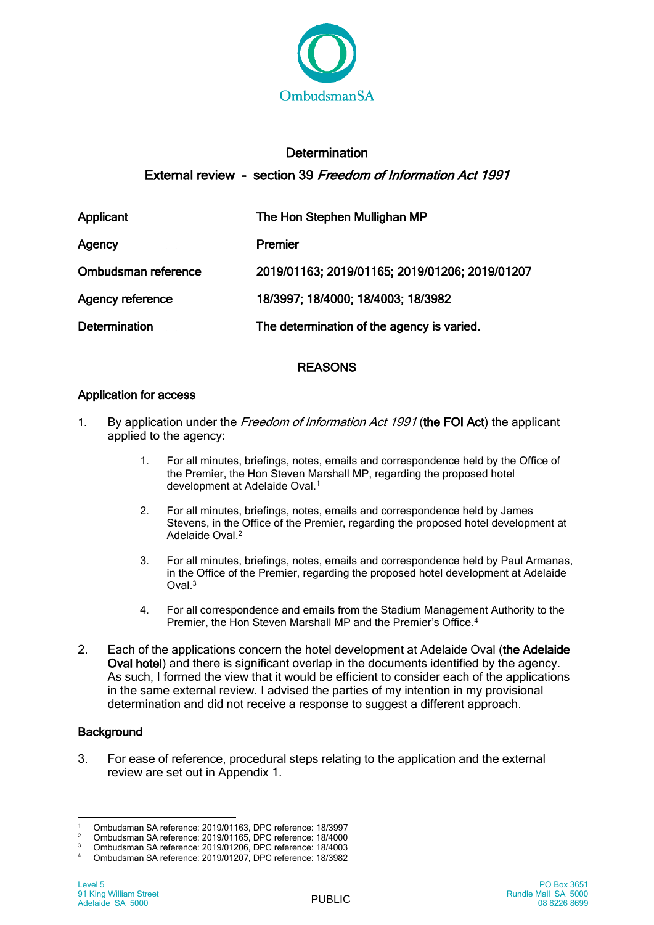

# **Determination** External review - section 39 Freedom of Information Act 1991

| <b>Applicant</b>        | The Hon Stephen Mullighan MP                   |
|-------------------------|------------------------------------------------|
| Agency                  | Premier                                        |
| Ombudsman reference     | 2019/01163; 2019/01165; 2019/01206; 2019/01207 |
| <b>Agency reference</b> | 18/3997; 18/4000; 18/4003; 18/3982             |
| <b>Determination</b>    | The determination of the agency is varied.     |

## REASONS

## Application for access

- 1. By application under the Freedom of Information Act 1991 (the FOI Act) the applicant applied to the agency:
	- 1. For all minutes, briefings, notes, emails and correspondence held by the Office of the Premier, the Hon Steven Marshall MP, regarding the proposed hotel development at Adelaide Oval.<sup>1</sup>
	- 2. For all minutes, briefings, notes, emails and correspondence held by James Stevens, in the Office of the Premier, regarding the proposed hotel development at Adelaide Oval.<sup>2</sup>
	- 3. For all minutes, briefings, notes, emails and correspondence held by Paul Armanas, in the Office of the Premier, regarding the proposed hotel development at Adelaide  $Oval<sup>3</sup>$
	- 4. For all correspondence and emails from the Stadium Management Authority to the Premier, the Hon Steven Marshall MP and the Premier's Office.<sup>4</sup>
- 2. Each of the applications concern the hotel development at Adelaide Oval (the Adelaide Oval hotel) and there is significant overlap in the documents identified by the agency. As such, I formed the view that it would be efficient to consider each of the applications in the same external review. I advised the parties of my intention in my provisional determination and did not receive a response to suggest a different approach.

## **Background**

3. For ease of reference, procedural steps relating to the application and the external review are set out in Appendix 1.

 $\overline{a}$ 1 Ombudsman SA reference: 2019/01163, DPC reference: 18/3997<br>2 Ombudsman SA reference: 2019/01165, DPC reference: 18/4000

<sup>&</sup>lt;sup>2</sup> Ombudsman SA reference: 2019/01165, DPC reference: 18/4000<br><sup>3</sup> Ombudsman SA reference: 2019/01206, DDC reference: 18/4002

<sup>3</sup> Ombudsman SA reference: 2019/01206, DPC reference: 18/4003

<sup>4</sup> Ombudsman SA reference: 2019/01207, DPC reference: 18/3982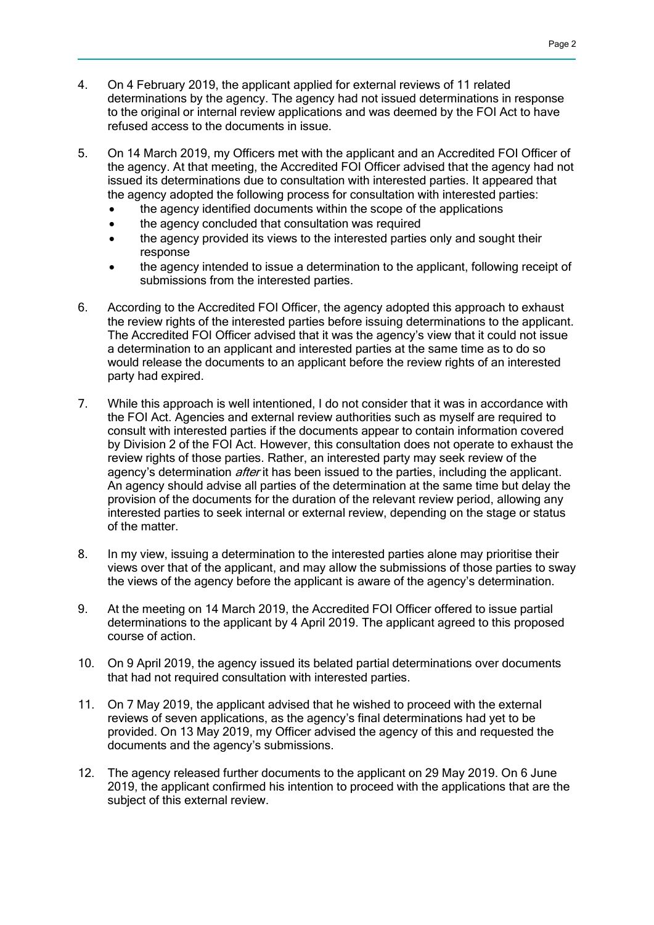- 4. On 4 February 2019, the applicant applied for external reviews of 11 related determinations by the agency. The agency had not issued determinations in response to the original or internal review applications and was deemed by the FOI Act to have refused access to the documents in issue.
- 5. On 14 March 2019, my Officers met with the applicant and an Accredited FOI Officer of the agency. At that meeting, the Accredited FOI Officer advised that the agency had not issued its determinations due to consultation with interested parties. It appeared that the agency adopted the following process for consultation with interested parties:
	- the agency identified documents within the scope of the applications
	- the agency concluded that consultation was required
	- the agency provided its views to the interested parties only and sought their response
	- the agency intended to issue a determination to the applicant, following receipt of submissions from the interested parties.
- 6. According to the Accredited FOI Officer, the agency adopted this approach to exhaust the review rights of the interested parties before issuing determinations to the applicant. The Accredited FOI Officer advised that it was the agency's view that it could not issue a determination to an applicant and interested parties at the same time as to do so would release the documents to an applicant before the review rights of an interested party had expired.
- 7. While this approach is well intentioned, I do not consider that it was in accordance with the FOI Act. Agencies and external review authorities such as myself are required to consult with interested parties if the documents appear to contain information covered by Division 2 of the FOI Act. However, this consultation does not operate to exhaust the review rights of those parties. Rather, an interested party may seek review of the agency's determination *after* it has been issued to the parties, including the applicant. An agency should advise all parties of the determination at the same time but delay the provision of the documents for the duration of the relevant review period, allowing any interested parties to seek internal or external review, depending on the stage or status of the matter.
- 8. In my view, issuing a determination to the interested parties alone may prioritise their views over that of the applicant, and may allow the submissions of those parties to sway the views of the agency before the applicant is aware of the agency's determination.
- 9. At the meeting on 14 March 2019, the Accredited FOI Officer offered to issue partial determinations to the applicant by 4 April 2019. The applicant agreed to this proposed course of action.
- 10. On 9 April 2019, the agency issued its belated partial determinations over documents that had not required consultation with interested parties.
- 11. On 7 May 2019, the applicant advised that he wished to proceed with the external reviews of seven applications, as the agency's final determinations had yet to be provided. On 13 May 2019, my Officer advised the agency of this and requested the documents and the agency's submissions.
- 12. The agency released further documents to the applicant on 29 May 2019. On 6 June 2019, the applicant confirmed his intention to proceed with the applications that are the subject of this external review.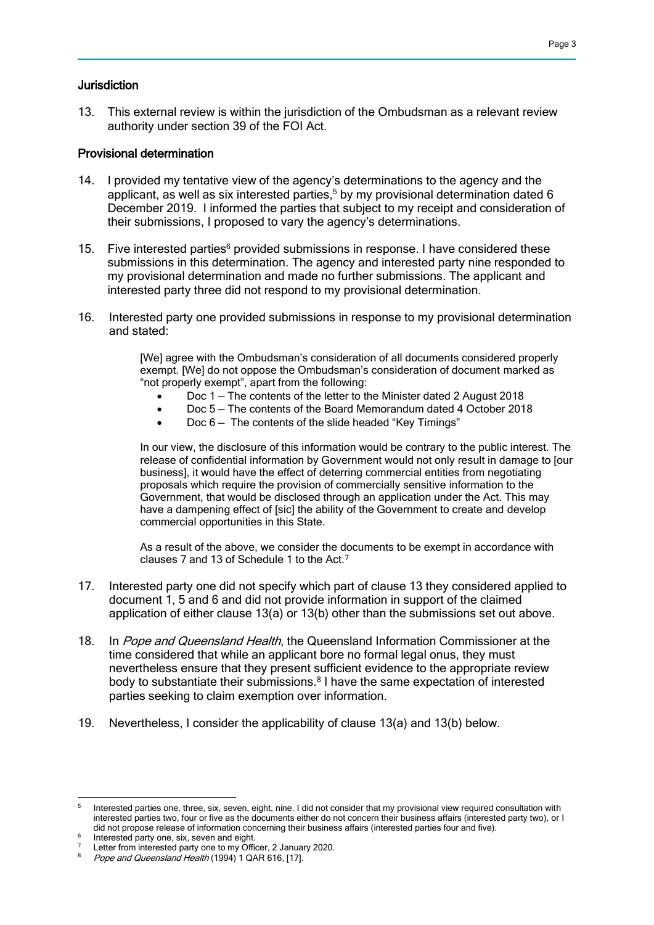### Jurisdiction

13. This external review is within the jurisdiction of the Ombudsman as a relevant review authority under section 39 of the FOI Act.

#### Provisional determination

- 14. I provided my tentative view of the agency's determinations to the agency and the applicant, as well as six interested parties.<sup>5</sup> by my provisional determination dated  $6$ December 2019. I informed the parties that subject to my receipt and consideration of their submissions, I proposed to vary the agency's determinations.
- 15. Five interested parties $6$  provided submissions in response. I have considered these submissions in this determination. The agency and interested party nine responded to my provisional determination and made no further submissions. The applicant and interested party three did not respond to my provisional determination.
- 16. Interested party one provided submissions in response to my provisional determination and stated:

[We] agree with the Ombudsman's consideration of all documents considered properly exempt. [We] do not oppose the Ombudsman's consideration of document marked as "not properly exempt", apart from the following:

- Doc 1 The contents of the letter to the Minister dated 2 August 2018
- Doc 5 The contents of the Board Memorandum dated 4 October 2018
- Doc 6 The contents of the slide headed "Key Timings"

In our view, the disclosure of this information would be contrary to the public interest. The release of confidential information by Government would not only result in damage to [our business], it would have the effect of deterring commercial entities from negotiating proposals which require the provision of commercially sensitive information to the Government, that would be disclosed through an application under the Act. This may have a dampening effect of [sic] the ability of the Government to create and develop commercial opportunities in this State.

As a result of the above, we consider the documents to be exempt in accordance with clauses 7 and 13 of Schedule 1 to the Act.<sup>7</sup>

- 17. Interested party one did not specify which part of clause 13 they considered applied to document 1, 5 and 6 and did not provide information in support of the claimed application of either clause 13(a) or 13(b) other than the submissions set out above.
- 18. In Pope and Queensland Health, the Queensland Information Commissioner at the time considered that while an applicant bore no formal legal onus, they must nevertheless ensure that they present sufficient evidence to the appropriate review body to substantiate their submissions.<sup>8</sup> I have the same expectation of interested parties seeking to claim exemption over information.
- 19. Nevertheless, I consider the applicability of clause 13(a) and 13(b) below.

<sup>-&</sup>lt;br>5 Interested parties one, three, six, seven, eight, nine. I did not consider that my provisional view required consultation with interested parties two, four or five as the documents either do not concern their business affairs (interested party two), or I did not propose release of information concerning their business affairs (interested parties four and five).

<sup>6</sup> Interested party one, six, seven and eight.

<sup>&</sup>lt;sup>7</sup> Letter from interested party one to my Officer, 2 January 2020.

Pope and Queensland Health (1994) 1 QAR 616, [17].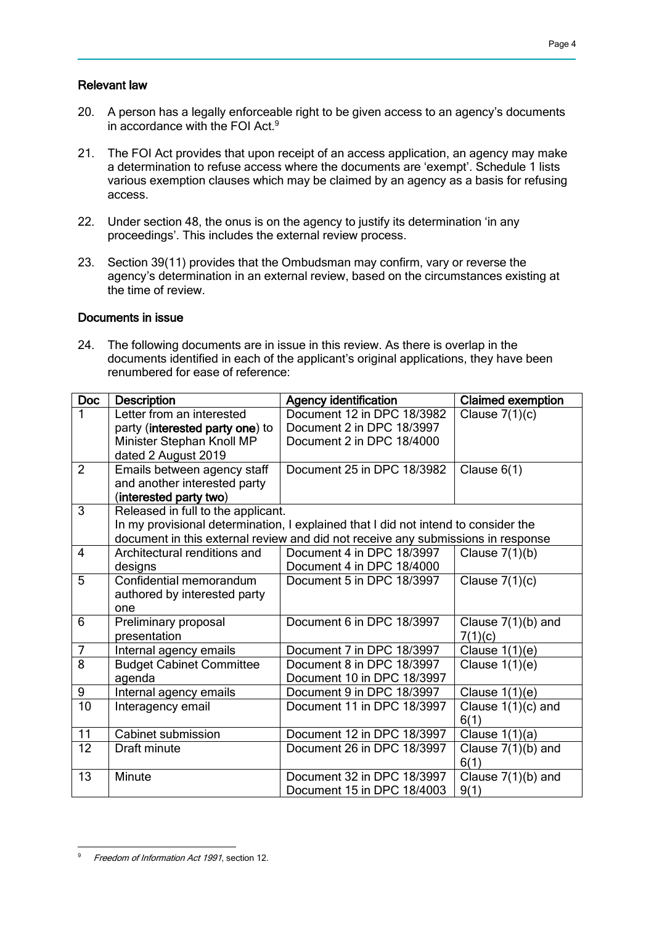## Relevant law

- 20. A person has a legally enforceable right to be given access to an agency's documents in accordance with the FOI Act.<sup>9</sup>
- 21. The FOI Act provides that upon receipt of an access application, an agency may make a determination to refuse access where the documents are 'exempt'. Schedule 1 lists various exemption clauses which may be claimed by an agency as a basis for refusing access.
- 22. Under section 48, the onus is on the agency to justify its determination 'in any proceedings'. This includes the external review process.
- 23. Section 39(11) provides that the Ombudsman may confirm, vary or reverse the agency's determination in an external review, based on the circumstances existing at the time of review.

### Documents in issue

24. The following documents are in issue in this review. As there is overlap in the documents identified in each of the applicant's original applications, they have been renumbered for ease of reference:

| <b>Doc</b>      | <b>Description</b>                 | <b>Agency identification</b>                                                       | <b>Claimed exemption</b> |  |
|-----------------|------------------------------------|------------------------------------------------------------------------------------|--------------------------|--|
|                 | Letter from an interested          | Document 12 in DPC 18/3982                                                         | Clause $7(1)(c)$         |  |
|                 | party (interested party one) to    | Document 2 in DPC 18/3997                                                          |                          |  |
|                 | Minister Stephan Knoll MP          | Document 2 in DPC 18/4000                                                          |                          |  |
|                 | dated 2 August 2019                |                                                                                    |                          |  |
| $\overline{2}$  | Emails between agency staff        | Document 25 in DPC 18/3982                                                         | Clause $6(1)$            |  |
|                 | and another interested party       |                                                                                    |                          |  |
|                 | (interested party two)             |                                                                                    |                          |  |
| 3               | Released in full to the applicant. |                                                                                    |                          |  |
|                 |                                    | In my provisional determination, I explained that I did not intend to consider the |                          |  |
|                 |                                    | document in this external review and did not receive any submissions in response   |                          |  |
| $\overline{4}$  | Architectural renditions and       | Document 4 in DPC 18/3997                                                          | Clause $7(1)(b)$         |  |
|                 | designs                            | Document 4 in DPC 18/4000                                                          |                          |  |
| 5               | Confidential memorandum            | Document 5 in DPC 18/3997                                                          | Clause $7(1)(c)$         |  |
|                 | authored by interested party       |                                                                                    |                          |  |
|                 | one                                |                                                                                    |                          |  |
| 6               | Preliminary proposal               | Document 6 in DPC 18/3997                                                          | Clause $7(1)(b)$ and     |  |
|                 | presentation                       |                                                                                    | 7(1)(c)                  |  |
| $\overline{7}$  | Internal agency emails             | Document 7 in DPC 18/3997                                                          | Clause $1(1)(e)$         |  |
| $\overline{8}$  | <b>Budget Cabinet Committee</b>    | Document 8 in DPC 18/3997                                                          | Clause $1(1)(e)$         |  |
|                 | agenda                             | Document 10 in DPC 18/3997                                                         |                          |  |
| 9               | Internal agency emails             | Document 9 in DPC 18/3997                                                          | Clause $1(1)(e)$         |  |
| $\overline{10}$ | Interagency email                  | Document 11 in DPC 18/3997                                                         | Clause $1(1)(c)$ and     |  |
|                 |                                    |                                                                                    | 6(1)                     |  |
| 11              | <b>Cabinet submission</b>          | Document 12 in DPC 18/3997                                                         | Clause $1(1)(a)$         |  |
| 12              | Draft minute                       | Document 26 in DPC 18/3997                                                         | Clause 7(1)(b) and       |  |
|                 |                                    |                                                                                    | 6(1)                     |  |
| 13              | Minute                             | Document 32 in DPC 18/3997                                                         | Clause 7(1)(b) and       |  |
|                 |                                    | Document 15 in DPC 18/4003                                                         | 9(1)                     |  |

 Freedom of Information Act 1991, section 12.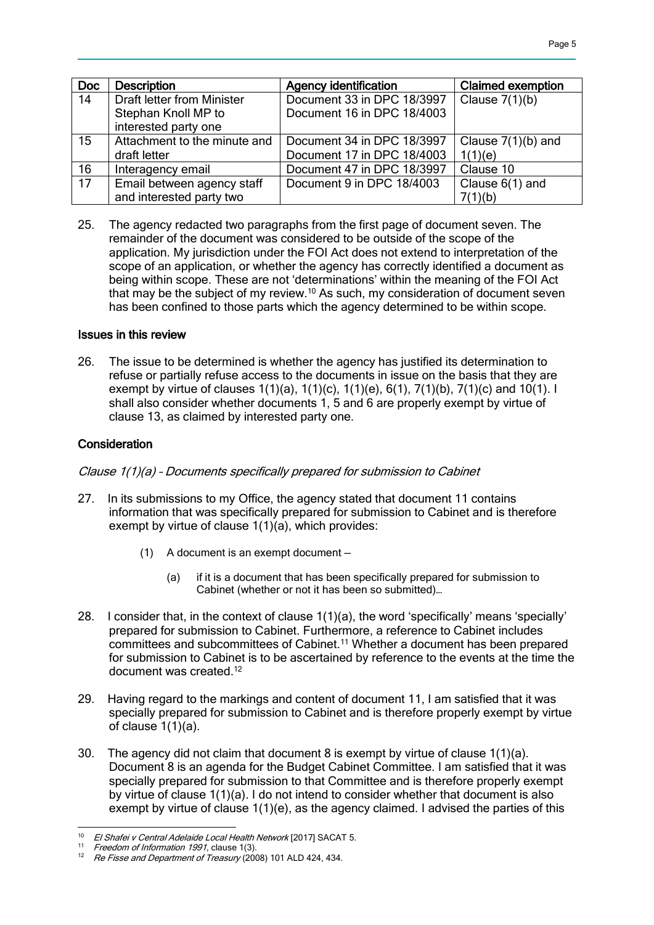| <b>Doc</b>      | <b>Description</b>                | <b>Agency identification</b> | <b>Claimed exemption</b> |
|-----------------|-----------------------------------|------------------------------|--------------------------|
| 14              | <b>Draft letter from Minister</b> | Document 33 in DPC 18/3997   | Clause $7(1)(b)$         |
|                 | Stephan Knoll MP to               | Document 16 in DPC 18/4003   |                          |
|                 | interested party one              |                              |                          |
| 15              | Attachment to the minute and      | Document 34 in DPC 18/3997   | Clause $7(1)(b)$ and     |
|                 | draft letter                      | Document 17 in DPC 18/4003   | 1(1)(e)                  |
| 16              | Interagency email                 | Document 47 in DPC 18/3997   | Clause 10                |
| $\overline{17}$ | Email between agency staff        | Document 9 in DPC 18/4003    | Clause $6(1)$ and        |
|                 | and interested party two          |                              | 7(1)(b)                  |

25. The agency redacted two paragraphs from the first page of document seven. The remainder of the document was considered to be outside of the scope of the application. My jurisdiction under the FOI Act does not extend to interpretation of the scope of an application, or whether the agency has correctly identified a document as being within scope. These are not 'determinations' within the meaning of the FOI Act that may be the subject of my review.<sup>10</sup> As such, my consideration of document seven has been confined to those parts which the agency determined to be within scope.

### Issues in this review

26. The issue to be determined is whether the agency has justified its determination to refuse or partially refuse access to the documents in issue on the basis that they are exempt by virtue of clauses 1(1)(a), 1(1)(c), 1(1)(e), 6(1), 7(1)(b), 7(1)(c) and 10(1). I shall also consider whether documents 1, 5 and 6 are properly exempt by virtue of clause 13, as claimed by interested party one.

## Consideration

Clause 1(1)(a) – Documents specifically prepared for submission to Cabinet

- 27. In its submissions to my Office, the agency stated that document 11 contains information that was specifically prepared for submission to Cabinet and is therefore exempt by virtue of clause 1(1)(a), which provides:
	- (1) A document is an exempt document
		- (a) if it is a document that has been specifically prepared for submission to Cabinet (whether or not it has been so submitted)…
- 28. I consider that, in the context of clause 1(1)(a), the word 'specifically' means 'specially' prepared for submission to Cabinet. Furthermore, a reference to Cabinet includes committees and subcommittees of Cabinet.<sup>11</sup> Whether a document has been prepared for submission to Cabinet is to be ascertained by reference to the events at the time the document was created.<sup>12</sup>
- 29. Having regard to the markings and content of document 11, I am satisfied that it was specially prepared for submission to Cabinet and is therefore properly exempt by virtue of clause 1(1)(a).
- 30. The agency did not claim that document 8 is exempt by virtue of clause 1(1)(a). Document 8 is an agenda for the Budget Cabinet Committee. I am satisfied that it was specially prepared for submission to that Committee and is therefore properly exempt by virtue of clause 1(1)(a). I do not intend to consider whether that document is also exempt by virtue of clause  $1(1)(e)$ , as the agency claimed. I advised the parties of this

 <sup>10</sup> El Shafei v Central Adelaide Local Health Network [2017] SACAT 5.

<sup>&</sup>lt;sup>11</sup> Freedom of Information 1991, clause 1(3).<br><sup>12</sup> Re Fisee and Department of Treasury (20)

Re Fisse and Department of Treasury (2008) 101 ALD 424, 434.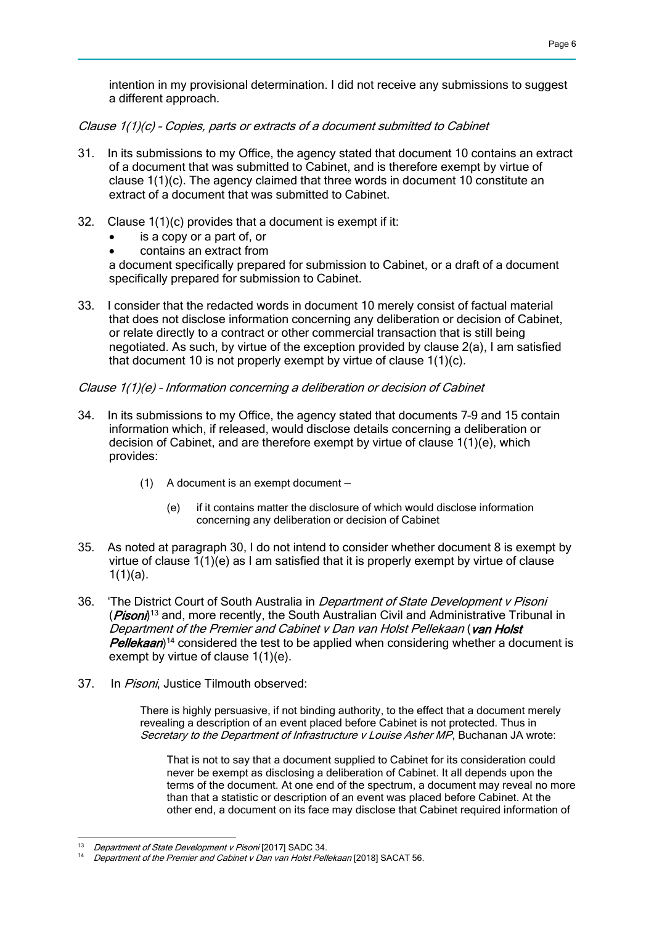intention in my provisional determination. I did not receive any submissions to suggest a different approach.

Clause 1(1)(c) – Copies, parts or extracts of a document submitted to Cabinet

- 31. In its submissions to my Office, the agency stated that document 10 contains an extract of a document that was submitted to Cabinet, and is therefore exempt by virtue of clause 1(1)(c). The agency claimed that three words in document 10 constitute an extract of a document that was submitted to Cabinet.
- 32. Clause 1(1)(c) provides that a document is exempt if it:
	- is a copy or a part of, or
	- contains an extract from

a document specifically prepared for submission to Cabinet, or a draft of a document specifically prepared for submission to Cabinet.

33. I consider that the redacted words in document 10 merely consist of factual material that does not disclose information concerning any deliberation or decision of Cabinet, or relate directly to a contract or other commercial transaction that is still being negotiated. As such, by virtue of the exception provided by clause 2(a), I am satisfied that document 10 is not properly exempt by virtue of clause 1(1)(c).

### Clause 1(1)(e) – Information concerning a deliberation or decision of Cabinet

- 34. In its submissions to my Office, the agency stated that documents 7–9 and 15 contain information which, if released, would disclose details concerning a deliberation or decision of Cabinet, and are therefore exempt by virtue of clause 1(1)(e), which provides:
	- (1) A document is an exempt document
		- (e) if it contains matter the disclosure of which would disclose information concerning any deliberation or decision of Cabinet
- 35. As noted at paragraph 30, I do not intend to consider whether document 8 is exempt by virtue of clause 1(1)(e) as I am satisfied that it is properly exempt by virtue of clause  $1(1)(a)$ .
- 36. 'The District Court of South Australia in Department of State Development v Pisoni (*Pisoni*)<sup>13</sup> and, more recently, the South Australian Civil and Administrative Tribunal in Department of the Premier and Cabinet v Dan van Holst Pellekaan (van Holst Pellekaan)<sup>14</sup> considered the test to be applied when considering whether a document is exempt by virtue of clause 1(1)(e).
- 37. In Pisoni, Justice Tilmouth observed:

There is highly persuasive, if not binding authority, to the effect that a document merely revealing a description of an event placed before Cabinet is not protected. Thus in Secretary to the Department of Infrastructure v Louise Asher MP, Buchanan JA wrote:

That is not to say that a document supplied to Cabinet for its consideration could never be exempt as disclosing a deliberation of Cabinet. It all depends upon the terms of the document. At one end of the spectrum, a document may reveal no more than that a statistic or description of an event was placed before Cabinet. At the other end, a document on its face may disclose that Cabinet required information of

 Department of State Development v Pisoni [2017] SADC 34.

Department of the Premier and Cabinet v Dan van Holst Pellekaan [2018] SACAT 56.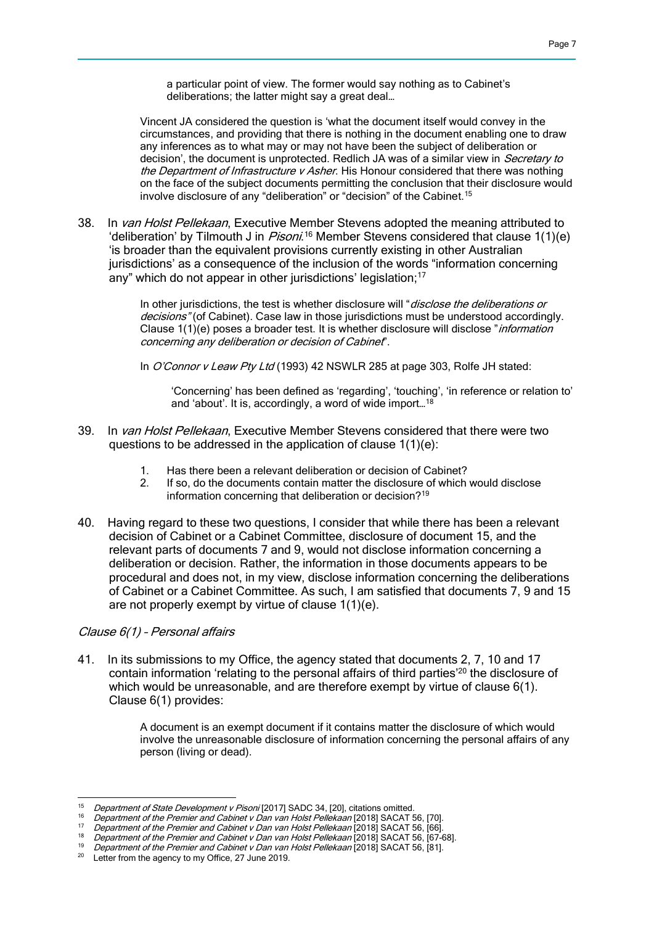a particular point of view. The former would say nothing as to Cabinet's deliberations; the latter might say a great deal…

Vincent JA considered the question is 'what the document itself would convey in the circumstances, and providing that there is nothing in the document enabling one to draw any inferences as to what may or may not have been the subject of deliberation or decision', the document is unprotected. Redlich JA was of a similar view in Secretary to the Department of Infrastructure v Asher. His Honour considered that there was nothing on the face of the subject documents permitting the conclusion that their disclosure would involve disclosure of any "deliberation" or "decision" of the Cabinet.<sup>15</sup>

38. In van Holst Pellekaan, Executive Member Stevens adopted the meaning attributed to 'deliberation' by Tilmouth J in *Pisoni*.<sup>16</sup> Member Stevens considered that clause 1(1)(e) 'is broader than the equivalent provisions currently existing in other Australian jurisdictions' as a consequence of the inclusion of the words "information concerning any" which do not appear in other jurisdictions' legislation; 17

> In other jurisdictions, the test is whether disclosure will "*disclose the deliberations or* decisions" (of Cabinet). Case law in those jurisdictions must be understood accordingly. Clause 1(1)(e) poses a broader test. It is whether disclosure will disclose "information concerning any deliberation or decision of Cabinet".

In O'Connor v Leaw Pty Ltd (1993) 42 NSWLR 285 at page 303, Rolfe JH stated:

'Concerning' has been defined as 'regarding', 'touching', 'in reference or relation to' and 'about'. It is, accordingly, a word of wide import…<sup>18</sup>

- 39. In van Holst Pellekaan, Executive Member Stevens considered that there were two questions to be addressed in the application of clause 1(1)(e):
	- 1. Has there been a relevant deliberation or decision of Cabinet?
	- 2. If so, do the documents contain matter the disclosure of which would disclose information concerning that deliberation or decision?<sup>19</sup>
- 40. Having regard to these two questions, I consider that while there has been a relevant decision of Cabinet or a Cabinet Committee, disclosure of document 15, and the relevant parts of documents 7 and 9, would not disclose information concerning a deliberation or decision. Rather, the information in those documents appears to be procedural and does not, in my view, disclose information concerning the deliberations of Cabinet or a Cabinet Committee. As such, I am satisfied that documents 7, 9 and 15 are not properly exempt by virtue of clause 1(1)(e).

## Clause 6(1) – Personal affairs

41. In its submissions to my Office, the agency stated that documents 2, 7, 10 and 17 contain information 'relating to the personal affairs of third parties<sup>'20</sup> the disclosure of which would be unreasonable, and are therefore exempt by virtue of clause 6(1). Clause 6(1) provides:

> A document is an exempt document if it contains matter the disclosure of which would involve the unreasonable disclosure of information concerning the personal affairs of any person (living or dead).

 $15$ Department of State Development v Pisoni [2017] SADC 34, [20], citations omitted.

<sup>16</sup> Department of the Premier and Cabinet v Dan van Holst Pellekaan [2018] SACAT 56, [70].

<sup>&</sup>lt;sup>17</sup> Department of the Premier and Cabinet v Dan van Holst Pellekaan [2018] SACAT 56, [66].

<sup>&</sup>lt;sup>18</sup> Department of the Premier and Cabinet v Dan van Holst Pellekaan [2018] SACAT 56, [67-68].

 $\frac{19}{20}$  Department of the Premier and Cabinet v Dan van Holst Pellekaan [2018] SACAT 56, [81].

Letter from the agency to my Office, 27 June 2019.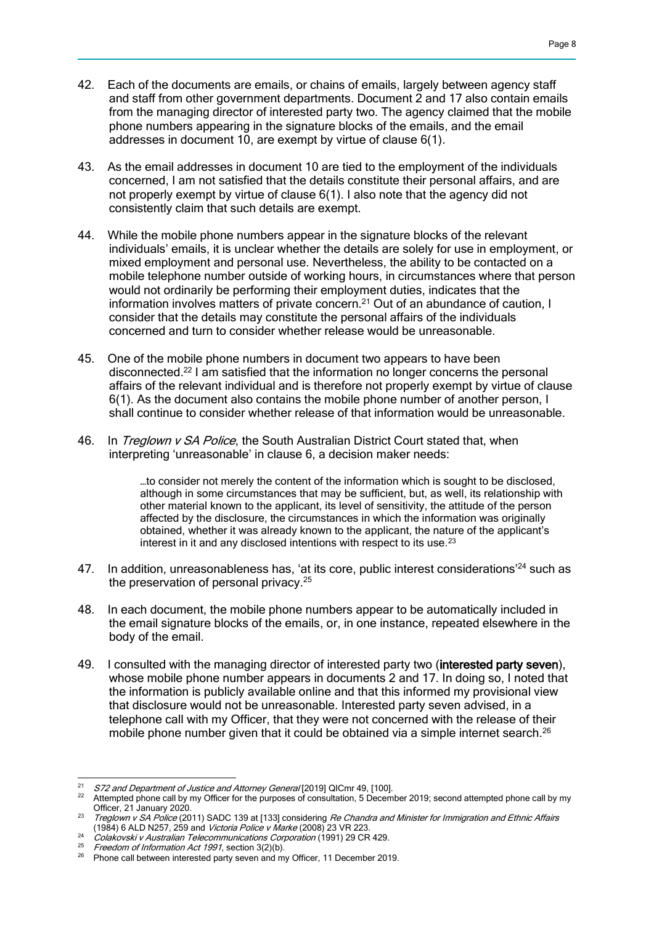- 42. Each of the documents are emails, or chains of emails, largely between agency staff and staff from other government departments. Document 2 and 17 also contain emails from the managing director of interested party two. The agency claimed that the mobile phone numbers appearing in the signature blocks of the emails, and the email addresses in document 10, are exempt by virtue of clause 6(1).
- 43. As the email addresses in document 10 are tied to the employment of the individuals concerned, I am not satisfied that the details constitute their personal affairs, and are not properly exempt by virtue of clause 6(1). I also note that the agency did not consistently claim that such details are exempt.
- 44. While the mobile phone numbers appear in the signature blocks of the relevant individuals' emails, it is unclear whether the details are solely for use in employment, or mixed employment and personal use. Nevertheless, the ability to be contacted on a mobile telephone number outside of working hours, in circumstances where that person would not ordinarily be performing their employment duties, indicates that the information involves matters of private concern.<sup>21</sup> Out of an abundance of caution, I consider that the details may constitute the personal affairs of the individuals concerned and turn to consider whether release would be unreasonable.
- 45. One of the mobile phone numbers in document two appears to have been disconnected.<sup>22</sup> I am satisfied that the information no longer concerns the personal affairs of the relevant individual and is therefore not properly exempt by virtue of clause 6(1). As the document also contains the mobile phone number of another person, I shall continue to consider whether release of that information would be unreasonable.
- 46. In Treglown v SA Police, the South Australian District Court stated that, when interpreting 'unreasonable' in clause 6, a decision maker needs:

…to consider not merely the content of the information which is sought to be disclosed, although in some circumstances that may be sufficient, but, as well, its relationship with other material known to the applicant, its level of sensitivity, the attitude of the person affected by the disclosure, the circumstances in which the information was originally obtained, whether it was already known to the applicant, the nature of the applicant's interest in it and any disclosed intentions with respect to its use.<sup>23</sup>

- 47. In addition, unreasonableness has, 'at its core, public interest considerations'<sup>24</sup> such as the preservation of personal privacy.<sup>25</sup>
- 48. In each document, the mobile phone numbers appear to be automatically included in the email signature blocks of the emails, or, in one instance, repeated elsewhere in the body of the email.
- 49. I consulted with the managing director of interested party two (interested party seven), whose mobile phone number appears in documents 2 and 17. In doing so, I noted that the information is publicly available online and that this informed my provisional view that disclosure would not be unreasonable. Interested party seven advised, in a telephone call with my Officer, that they were not concerned with the release of their mobile phone number given that it could be obtained via a simple internet search.<sup>26</sup>

  $21$  S72 and Department of Justice and Attorney General [2019] QICmr 49, [100].

<sup>22</sup> Attempted phone call by my Officer for the purposes of consultation, 5 December 2019; second attempted phone call by my Officer, 21 January 2020.

<sup>&</sup>lt;sup>23</sup> Treglown v SA Police (2011) SADC 139 at [133] considering Re Chandra and Minister for Immigration and Ethnic Affairs (1984) 6 ALD N257, 259 and Victoria Police v Marke (2008) 23 VR 223.

<sup>24</sup> Colakovski v Australian Telecommunications Corporation (1991) 29 CR 429.

<sup>&</sup>lt;sup>25</sup> Freedom of Information Act 1991, section 3(2)(b).<br><sup>26</sup> Phone cell between interested next using and mi

Phone call between interested party seven and my Officer, 11 December 2019.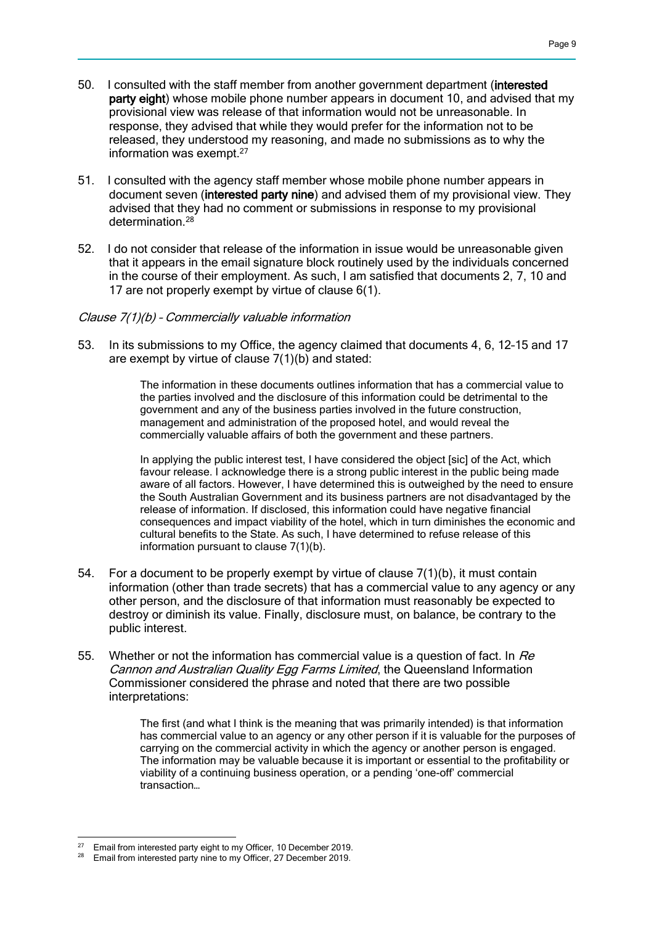- 50. I consulted with the staff member from another government department (interested party eight) whose mobile phone number appears in document 10, and advised that my provisional view was release of that information would not be unreasonable. In response, they advised that while they would prefer for the information not to be released, they understood my reasoning, and made no submissions as to why the information was exempt.<sup>27</sup>
- 51. I consulted with the agency staff member whose mobile phone number appears in document seven (interested party nine) and advised them of my provisional view. They advised that they had no comment or submissions in response to my provisional determination.<sup>28</sup>
- 52. I do not consider that release of the information in issue would be unreasonable given that it appears in the email signature block routinely used by the individuals concerned in the course of their employment. As such, I am satisfied that documents 2, 7, 10 and 17 are not properly exempt by virtue of clause 6(1).

#### Clause 7(1)(b) – Commercially valuable information

53. In its submissions to my Office, the agency claimed that documents 4, 6, 12–15 and 17 are exempt by virtue of clause 7(1)(b) and stated:

> The information in these documents outlines information that has a commercial value to the parties involved and the disclosure of this information could be detrimental to the government and any of the business parties involved in the future construction, management and administration of the proposed hotel, and would reveal the commercially valuable affairs of both the government and these partners.

In applying the public interest test, I have considered the object [sic] of the Act, which favour release. I acknowledge there is a strong public interest in the public being made aware of all factors. However, I have determined this is outweighed by the need to ensure the South Australian Government and its business partners are not disadvantaged by the release of information. If disclosed, this information could have negative financial consequences and impact viability of the hotel, which in turn diminishes the economic and cultural benefits to the State. As such, I have determined to refuse release of this information pursuant to clause 7(1)(b).

- 54. For a document to be properly exempt by virtue of clause 7(1)(b), it must contain information (other than trade secrets) that has a commercial value to any agency or any other person, and the disclosure of that information must reasonably be expected to destroy or diminish its value. Finally, disclosure must, on balance, be contrary to the public interest.
- 55. Whether or not the information has commercial value is a question of fact. In Re Cannon and Australian Quality Egg Farms Limited, the Queensland Information Commissioner considered the phrase and noted that there are two possible interpretations:

The first (and what I think is the meaning that was primarily intended) is that information has commercial value to an agency or any other person if it is valuable for the purposes of carrying on the commercial activity in which the agency or another person is engaged. The information may be valuable because it is important or essential to the profitability or viability of a continuing business operation, or a pending 'one-off' commercial transaction…

<sup>27</sup> <sup>27</sup> Email from interested party eight to my Officer, 10 December 2019.

Email from interested party nine to my Officer, 27 December 2019.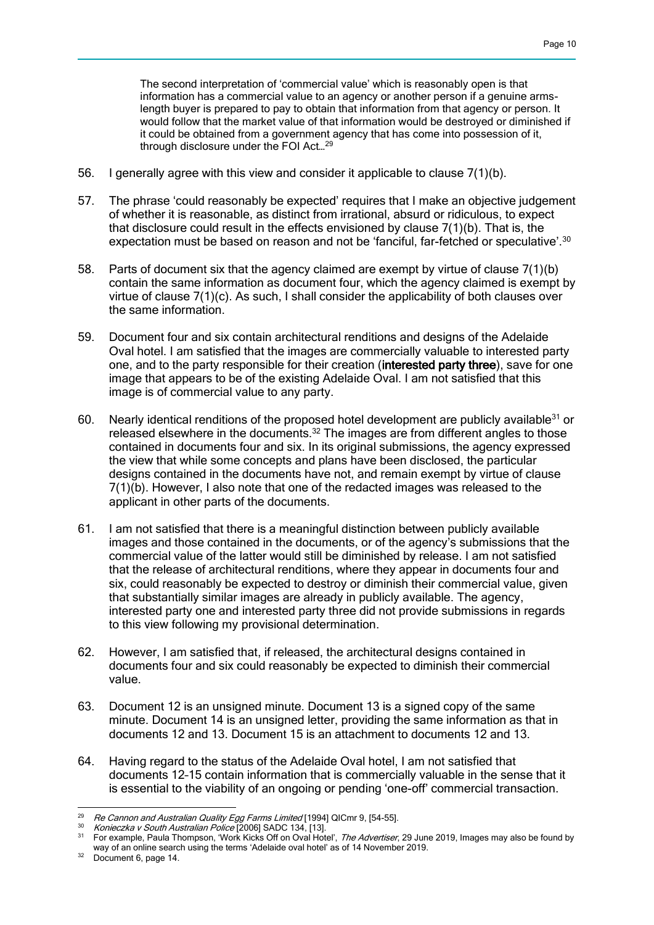The second interpretation of 'commercial value' which is reasonably open is that information has a commercial value to an agency or another person if a genuine armslength buyer is prepared to pay to obtain that information from that agency or person. It would follow that the market value of that information would be destroyed or diminished if it could be obtained from a government agency that has come into possession of it, through disclosure under the FOI Act…<sup>29</sup>

- 56. I generally agree with this view and consider it applicable to clause 7(1)(b).
- 57. The phrase 'could reasonably be expected' requires that I make an objective judgement of whether it is reasonable, as distinct from irrational, absurd or ridiculous, to expect that disclosure could result in the effects envisioned by clause 7(1)(b). That is, the expectation must be based on reason and not be 'fanciful, far-fetched or speculative'.<sup>30</sup>
- 58. Parts of document six that the agency claimed are exempt by virtue of clause 7(1)(b) contain the same information as document four, which the agency claimed is exempt by virtue of clause 7(1)(c). As such, I shall consider the applicability of both clauses over the same information.
- 59. Document four and six contain architectural renditions and designs of the Adelaide Oval hotel. I am satisfied that the images are commercially valuable to interested party one, and to the party responsible for their creation (interested party three), save for one image that appears to be of the existing Adelaide Oval. I am not satisfied that this image is of commercial value to any party.
- 60. Nearly identical renditions of the proposed hotel development are publicly available<sup>31</sup> or released elsewhere in the documents.<sup>32</sup> The images are from different angles to those contained in documents four and six. In its original submissions, the agency expressed the view that while some concepts and plans have been disclosed, the particular designs contained in the documents have not, and remain exempt by virtue of clause 7(1)(b). However, I also note that one of the redacted images was released to the applicant in other parts of the documents.
- 61. I am not satisfied that there is a meaningful distinction between publicly available images and those contained in the documents, or of the agency's submissions that the commercial value of the latter would still be diminished by release. I am not satisfied that the release of architectural renditions, where they appear in documents four and six, could reasonably be expected to destroy or diminish their commercial value, given that substantially similar images are already in publicly available. The agency, interested party one and interested party three did not provide submissions in regards to this view following my provisional determination.
- 62. However, I am satisfied that, if released, the architectural designs contained in documents four and six could reasonably be expected to diminish their commercial value.
- 63. Document 12 is an unsigned minute. Document 13 is a signed copy of the same minute. Document 14 is an unsigned letter, providing the same information as that in documents 12 and 13. Document 15 is an attachment to documents 12 and 13.
- 64. Having regard to the status of the Adelaide Oval hotel, I am not satisfied that documents 12–15 contain information that is commercially valuable in the sense that it is essential to the viability of an ongoing or pending 'one-off' commercial transaction.

 $\overline{a}$  $^{29}$  Re Cannon and Australian Quality Egg Farms Limited [1994] QICmr 9, [54-55].

<sup>30</sup> Konieczka v South Australian Police [2006] SADC 134, [13].

<sup>&</sup>lt;sup>31</sup> For example, Paula Thompson, 'Work Kicks Off on Oval Hotel', The Advertiser, 29 June 2019, Images may also be found by way of an online search using the terms 'Adelaide oval hotel' as of 14 November 2019.

<sup>&</sup>lt;sup>32</sup> Document 6, page 14.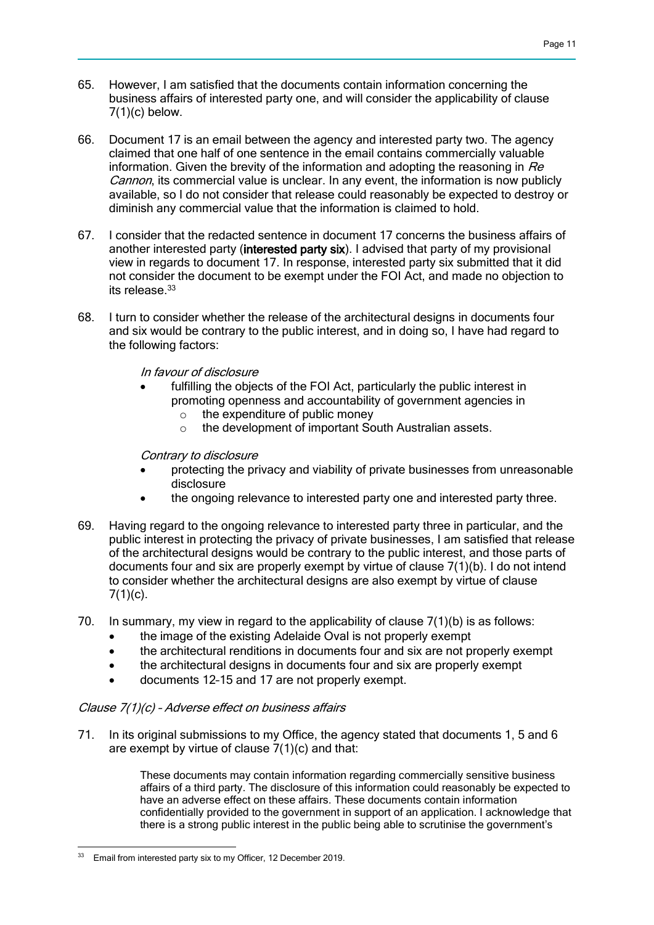- 65. However, I am satisfied that the documents contain information concerning the business affairs of interested party one, and will consider the applicability of clause  $7(1)(c)$  below.
- 66. Document 17 is an email between the agency and interested party two. The agency claimed that one half of one sentence in the email contains commercially valuable information. Given the brevity of the information and adopting the reasoning in  $Re$ Cannon, its commercial value is unclear. In any event, the information is now publicly available, so I do not consider that release could reasonably be expected to destroy or diminish any commercial value that the information is claimed to hold.
- 67. I consider that the redacted sentence in document 17 concerns the business affairs of another interested party (interested party six). I advised that party of my provisional view in regards to document 17. In response, interested party six submitted that it did not consider the document to be exempt under the FOI Act, and made no objection to its release.<sup>33</sup>
- 68. I turn to consider whether the release of the architectural designs in documents four and six would be contrary to the public interest, and in doing so, I have had regard to the following factors:

In favour of disclosure

- fulfilling the objects of the FOI Act, particularly the public interest in promoting openness and accountability of government agencies in
	- o the expenditure of public money
	- o the development of important South Australian assets.

Contrary to disclosure

- protecting the privacy and viability of private businesses from unreasonable disclosure
- the ongoing relevance to interested party one and interested party three.
- 69. Having regard to the ongoing relevance to interested party three in particular, and the public interest in protecting the privacy of private businesses, I am satisfied that release of the architectural designs would be contrary to the public interest, and those parts of documents four and six are properly exempt by virtue of clause 7(1)(b). I do not intend to consider whether the architectural designs are also exempt by virtue of clause  $7(1)(c)$ .
- 70. In summary, my view in regard to the applicability of clause  $7(1)(b)$  is as follows:
	- the image of the existing Adelaide Oval is not properly exempt
	- the architectural renditions in documents four and six are not properly exempt
	- the architectural designs in documents four and six are properly exempt
	- documents 12–15 and 17 are not properly exempt.

## Clause 7(1)(c) – Adverse effect on business affairs

71. In its original submissions to my Office, the agency stated that documents 1, 5 and 6 are exempt by virtue of clause 7(1)(c) and that:

> These documents may contain information regarding commercially sensitive business affairs of a third party. The disclosure of this information could reasonably be expected to have an adverse effect on these affairs. These documents contain information confidentially provided to the government in support of an application. I acknowledge that there is a strong public interest in the public being able to scrutinise the government's

 <sup>33</sup> Email from interested party six to my Officer, 12 December 2019.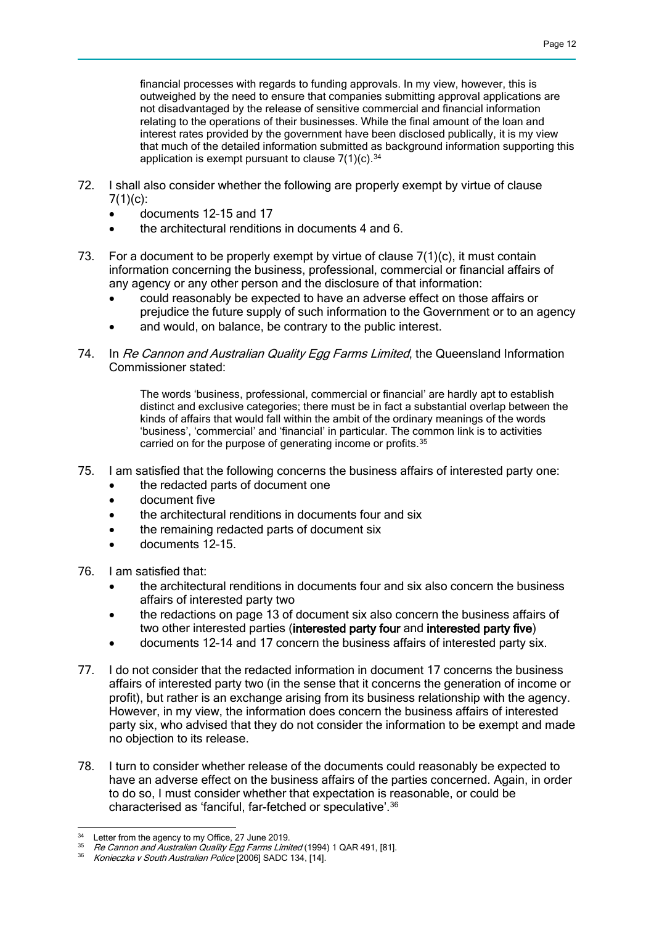financial processes with regards to funding approvals. In my view, however, this is outweighed by the need to ensure that companies submitting approval applications are not disadvantaged by the release of sensitive commercial and financial information relating to the operations of their businesses. While the final amount of the loan and interest rates provided by the government have been disclosed publically, it is my view that much of the detailed information submitted as background information supporting this application is exempt pursuant to clause  $7(1)(c)$ . 34

- 72. I shall also consider whether the following are properly exempt by virtue of clause 7(1)(c):
	- documents 12–15 and 17
	- the architectural renditions in documents 4 and 6.
- 73. For a document to be properly exempt by virtue of clause 7(1)(c), it must contain information concerning the business, professional, commercial or financial affairs of any agency or any other person and the disclosure of that information:
	- could reasonably be expected to have an adverse effect on those affairs or prejudice the future supply of such information to the Government or to an agency
	- and would, on balance, be contrary to the public interest.
- 74. In Re Cannon and Australian Quality Egg Farms Limited, the Queensland Information Commissioner stated:

The words 'business, professional, commercial or financial' are hardly apt to establish distinct and exclusive categories; there must be in fact a substantial overlap between the kinds of affairs that would fall within the ambit of the ordinary meanings of the words 'business', 'commercial' and 'financial' in particular. The common link is to activities carried on for the purpose of generating income or profits.<sup>35</sup>

- 75. I am satisfied that the following concerns the business affairs of interested party one:
	- the redacted parts of document one
	- document five
	- the architectural renditions in documents four and six
	- the remaining redacted parts of document six
	- documents 12–15.
- 76. I am satisfied that:
	- the architectural renditions in documents four and six also concern the business affairs of interested party two
	- the redactions on page 13 of document six also concern the business affairs of two other interested parties (interested party four and interested party five)
	- documents 12–14 and 17 concern the business affairs of interested party six.
- 77. I do not consider that the redacted information in document 17 concerns the business affairs of interested party two (in the sense that it concerns the generation of income or profit), but rather is an exchange arising from its business relationship with the agency. However, in my view, the information does concern the business affairs of interested party six, who advised that they do not consider the information to be exempt and made no objection to its release.
- 78. I turn to consider whether release of the documents could reasonably be expected to have an adverse effect on the business affairs of the parties concerned. Again, in order to do so, I must consider whether that expectation is reasonable, or could be characterised as 'fanciful, far-fetched or speculative'.<sup>36</sup>

  $34$  Letter from the agency to my Office, 27 June 2019.

<sup>35</sup> Re Cannon and Australian Quality Egg Farms Limited (1994) 1 QAR 491, [81].

Konieczka v South Australian Police [2006] SADC 134, [14].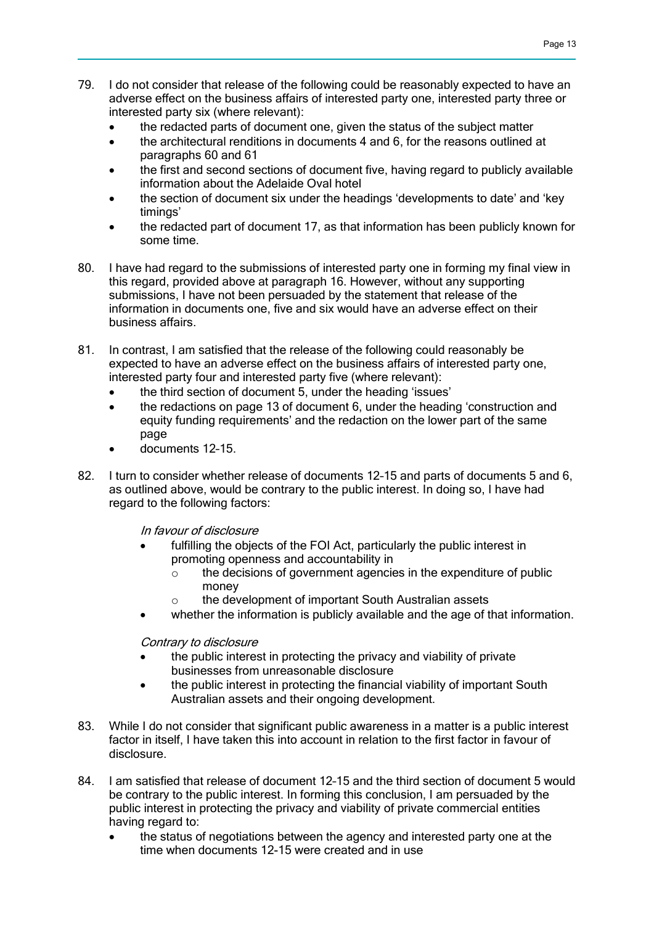- 79. I do not consider that release of the following could be reasonably expected to have an adverse effect on the business affairs of interested party one, interested party three or interested party six (where relevant):
	- the redacted parts of document one, given the status of the subject matter
	- the architectural renditions in documents 4 and 6, for the reasons outlined at paragraphs 60 and 61
	- the first and second sections of document five, having regard to publicly available information about the Adelaide Oval hotel
	- the section of document six under the headings 'developments to date' and 'key timings'
	- the redacted part of document 17, as that information has been publicly known for some time.
- 80. I have had regard to the submissions of interested party one in forming my final view in this regard, provided above at paragraph 16. However, without any supporting submissions, I have not been persuaded by the statement that release of the information in documents one, five and six would have an adverse effect on their business affairs.
- 81. In contrast, I am satisfied that the release of the following could reasonably be expected to have an adverse effect on the business affairs of interested party one, interested party four and interested party five (where relevant):
	- the third section of document 5, under the heading 'issues'
	- the redactions on page 13 of document 6, under the heading 'construction and equity funding requirements' and the redaction on the lower part of the same page
	- documents 12–15.
- 82. I turn to consider whether release of documents 12–15 and parts of documents 5 and 6, as outlined above, would be contrary to the public interest. In doing so, I have had regard to the following factors:

In favour of disclosure

- fulfilling the objects of the FOI Act, particularly the public interest in promoting openness and accountability in
	- o the decisions of government agencies in the expenditure of public money
	- the development of important South Australian assets
- whether the information is publicly available and the age of that information.

Contrary to disclosure

- the public interest in protecting the privacy and viability of private businesses from unreasonable disclosure
- the public interest in protecting the financial viability of important South Australian assets and their ongoing development.
- 83. While I do not consider that significant public awareness in a matter is a public interest factor in itself, I have taken this into account in relation to the first factor in favour of disclosure.
- 84. I am satisfied that release of document 12–15 and the third section of document 5 would be contrary to the public interest. In forming this conclusion, I am persuaded by the public interest in protecting the privacy and viability of private commercial entities having regard to:
	- the status of negotiations between the agency and interested party one at the time when documents 12-15 were created and in use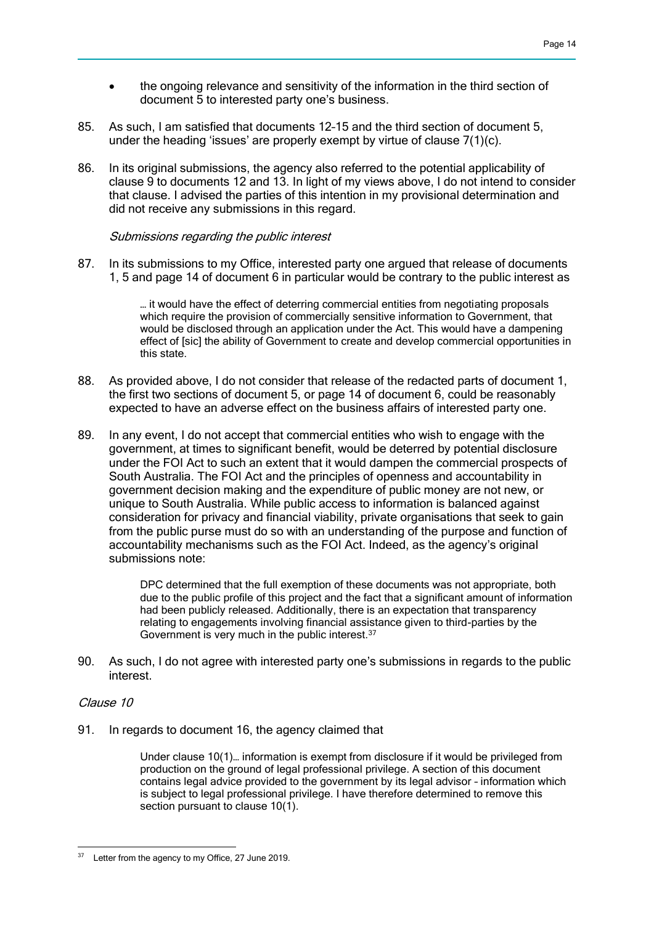- the ongoing relevance and sensitivity of the information in the third section of document 5 to interested party one's business.
- 85. As such, I am satisfied that documents 12–15 and the third section of document 5, under the heading 'issues' are properly exempt by virtue of clause 7(1)(c).
- 86. In its original submissions, the agency also referred to the potential applicability of clause 9 to documents 12 and 13. In light of my views above, I do not intend to consider that clause. I advised the parties of this intention in my provisional determination and did not receive any submissions in this regard.

#### Submissions regarding the public interest

87. In its submissions to my Office, interested party one argued that release of documents 1, 5 and page 14 of document 6 in particular would be contrary to the public interest as

> … it would have the effect of deterring commercial entities from negotiating proposals which require the provision of commercially sensitive information to Government, that would be disclosed through an application under the Act. This would have a dampening effect of [sic] the ability of Government to create and develop commercial opportunities in this state.

- 88. As provided above, I do not consider that release of the redacted parts of document 1, the first two sections of document 5, or page 14 of document 6, could be reasonably expected to have an adverse effect on the business affairs of interested party one.
- 89. In any event, I do not accept that commercial entities who wish to engage with the government, at times to significant benefit, would be deterred by potential disclosure under the FOI Act to such an extent that it would dampen the commercial prospects of South Australia. The FOI Act and the principles of openness and accountability in government decision making and the expenditure of public money are not new, or unique to South Australia. While public access to information is balanced against consideration for privacy and financial viability, private organisations that seek to gain from the public purse must do so with an understanding of the purpose and function of accountability mechanisms such as the FOI Act. Indeed, as the agency's original submissions note:

DPC determined that the full exemption of these documents was not appropriate, both due to the public profile of this project and the fact that a significant amount of information had been publicly released. Additionally, there is an expectation that transparency relating to engagements involving financial assistance given to third-parties by the Government is very much in the public interest.<sup>37</sup>

90. As such, I do not agree with interested party one's submissions in regards to the public interest.

#### Clause 10

91. In regards to document 16, the agency claimed that

Under clause 10(1)… information is exempt from disclosure if it would be privileged from production on the ground of legal professional privilege. A section of this document contains legal advice provided to the government by its legal advisor – information which is subject to legal professional privilege. I have therefore determined to remove this section pursuant to clause 10(1).

  $37$  Letter from the agency to my Office, 27 June 2019.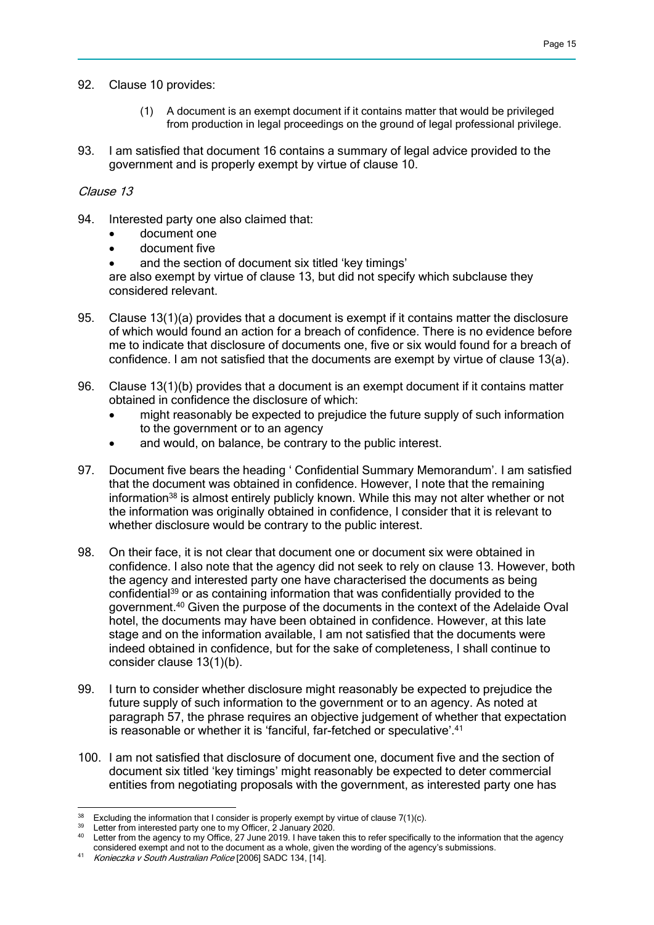- 92. Clause 10 provides:
	- (1) A document is an exempt document if it contains matter that would be privileged from production in legal proceedings on the ground of legal professional privilege.
- 93. I am satisfied that document 16 contains a summary of legal advice provided to the government and is properly exempt by virtue of clause 10.

### Clause 13

- 94. Interested party one also claimed that:
	- document one
	- document five
	- and the section of document six titled 'key timings'

are also exempt by virtue of clause 13, but did not specify which subclause they considered relevant.

- 95. Clause 13(1)(a) provides that a document is exempt if it contains matter the disclosure of which would found an action for a breach of confidence. There is no evidence before me to indicate that disclosure of documents one, five or six would found for a breach of confidence. I am not satisfied that the documents are exempt by virtue of clause 13(a).
- 96. Clause 13(1)(b) provides that a document is an exempt document if it contains matter obtained in confidence the disclosure of which:
	- might reasonably be expected to prejudice the future supply of such information to the government or to an agency
	- and would, on balance, be contrary to the public interest.
- 97. Document five bears the heading ' Confidential Summary Memorandum'. I am satisfied that the document was obtained in confidence. However, I note that the remaining information<sup>38</sup> is almost entirely publicly known. While this may not alter whether or not the information was originally obtained in confidence, I consider that it is relevant to whether disclosure would be contrary to the public interest.
- 98. On their face, it is not clear that document one or document six were obtained in confidence. I also note that the agency did not seek to rely on clause 13. However, both the agency and interested party one have characterised the documents as being confidential<sup>39</sup> or as containing information that was confidentially provided to the government.<sup>40</sup> Given the purpose of the documents in the context of the Adelaide Oval hotel, the documents may have been obtained in confidence. However, at this late stage and on the information available, I am not satisfied that the documents were indeed obtained in confidence, but for the sake of completeness, I shall continue to consider clause 13(1)(b).
- 99. I turn to consider whether disclosure might reasonably be expected to prejudice the future supply of such information to the government or to an agency. As noted at paragraph 57, the phrase requires an objective judgement of whether that expectation is reasonable or whether it is 'fanciful, far-fetched or speculative'.<sup>41</sup>
- 100. I am not satisfied that disclosure of document one, document five and the section of document six titled 'key timings' might reasonably be expected to deter commercial entities from negotiating proposals with the government, as interested party one has

 $\overline{a}$ <sup>38</sup> Excluding the information that I consider is properly exempt by virtue of clause  $7(1)(c)$ .

Letter from interested party one to my Officer, 2 January 2020.

<sup>40</sup> Letter from the agency to my Office, 27 June 2019. I have taken this to refer specifically to the information that the agency considered exempt and not to the document as a whole, given the wording of the agency's submissions.

<sup>41</sup> Konieczka v South Australian Police [2006] SADC 134, [14].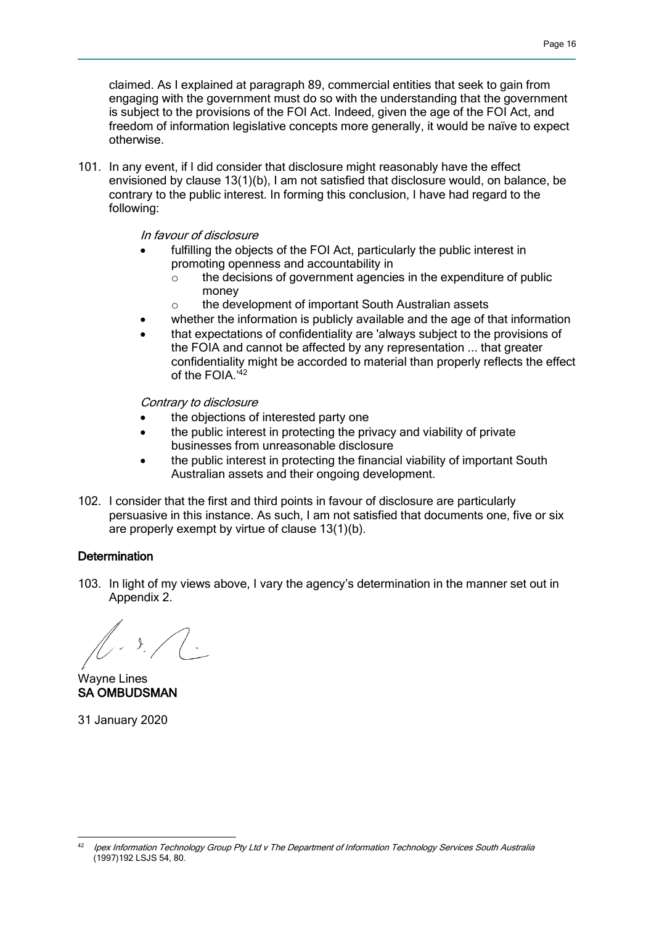claimed. As I explained at paragraph 89, commercial entities that seek to gain from engaging with the government must do so with the understanding that the government is subject to the provisions of the FOI Act. Indeed, given the age of the FOI Act, and freedom of information legislative concepts more generally, it would be naïve to expect otherwise.

101. In any event, if I did consider that disclosure might reasonably have the effect envisioned by clause 13(1)(b), I am not satisfied that disclosure would, on balance, be contrary to the public interest. In forming this conclusion, I have had regard to the following:

In favour of disclosure

- fulfilling the objects of the FOI Act, particularly the public interest in promoting openness and accountability in
	- o the decisions of government agencies in the expenditure of public money
	- o the development of important South Australian assets
- whether the information is publicly available and the age of that information
- that expectations of confidentiality are 'always subject to the provisions of the FOIA and cannot be affected by any representation ... that greater confidentiality might be accorded to material than properly reflects the effect of the FOIA.<sup>'42</sup>

Contrary to disclosure

- the objections of interested party one
- the public interest in protecting the privacy and viability of private businesses from unreasonable disclosure
- the public interest in protecting the financial viability of important South Australian assets and their ongoing development.
- 102. I consider that the first and third points in favour of disclosure are particularly persuasive in this instance. As such, I am not satisfied that documents one, five or six are properly exempt by virtue of clause 13(1)(b).

#### **Determination**

103. In light of my views above, I vary the agency's determination in the manner set out in Appendix 2.

Wayne Lines SA OMBUDSMAN

31 January 2020

 Ipex Information Technology Group Pty Ltd v The Department of Information Technology Services South Australia (1997)192 LSJS 54, 80.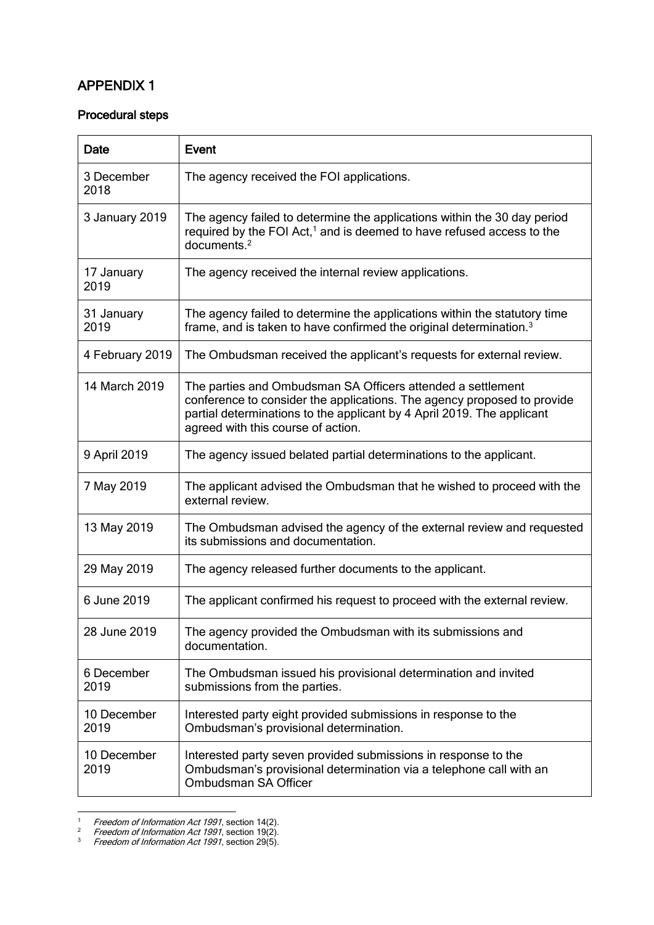## APPENDIX 1

## Procedural steps

| <b>Date</b>         | <b>Event</b>                                                                                                                                                                                                                                           |
|---------------------|--------------------------------------------------------------------------------------------------------------------------------------------------------------------------------------------------------------------------------------------------------|
| 3 December<br>2018  | The agency received the FOI applications.                                                                                                                                                                                                              |
| 3 January 2019      | The agency failed to determine the applications within the 30 day period<br>required by the FOI Act, <sup>1</sup> and is deemed to have refused access to the<br>documents <sup>2</sup>                                                                |
| 17 January<br>2019  | The agency received the internal review applications.                                                                                                                                                                                                  |
| 31 January<br>2019  | The agency failed to determine the applications within the statutory time<br>frame, and is taken to have confirmed the original determination. <sup>3</sup>                                                                                            |
| 4 February 2019     | The Ombudsman received the applicant's requests for external review.                                                                                                                                                                                   |
| 14 March 2019       | The parties and Ombudsman SA Officers attended a settlement<br>conference to consider the applications. The agency proposed to provide<br>partial determinations to the applicant by 4 April 2019. The applicant<br>agreed with this course of action. |
| 9 April 2019        | The agency issued belated partial determinations to the applicant.                                                                                                                                                                                     |
| 7 May 2019          | The applicant advised the Ombudsman that he wished to proceed with the<br>external review.                                                                                                                                                             |
| 13 May 2019         | The Ombudsman advised the agency of the external review and requested<br>its submissions and documentation.                                                                                                                                            |
| 29 May 2019         | The agency released further documents to the applicant.                                                                                                                                                                                                |
| 6 June 2019         | The applicant confirmed his request to proceed with the external review.                                                                                                                                                                               |
| 28 June 2019        | The agency provided the Ombudsman with its submissions and<br>documentation.                                                                                                                                                                           |
| 6 December<br>2019  | The Ombudsman issued his provisional determination and invited<br>submissions from the parties.                                                                                                                                                        |
| 10 December<br>2019 | Interested party eight provided submissions in response to the<br>Ombudsman's provisional determination.                                                                                                                                               |
| 10 December<br>2019 | Interested party seven provided submissions in response to the<br>Ombudsman's provisional determination via a telephone call with an<br>Ombudsman SA Officer                                                                                           |

<sup>1</sup> <sup>1</sup> Freedom of Information Act 1991, section 14(2).

<sup>&</sup>lt;sup>2</sup> Freedom of Information Act 1991, section 19(2).

 $3$  Freedom of Information Act 1991, section 29(5).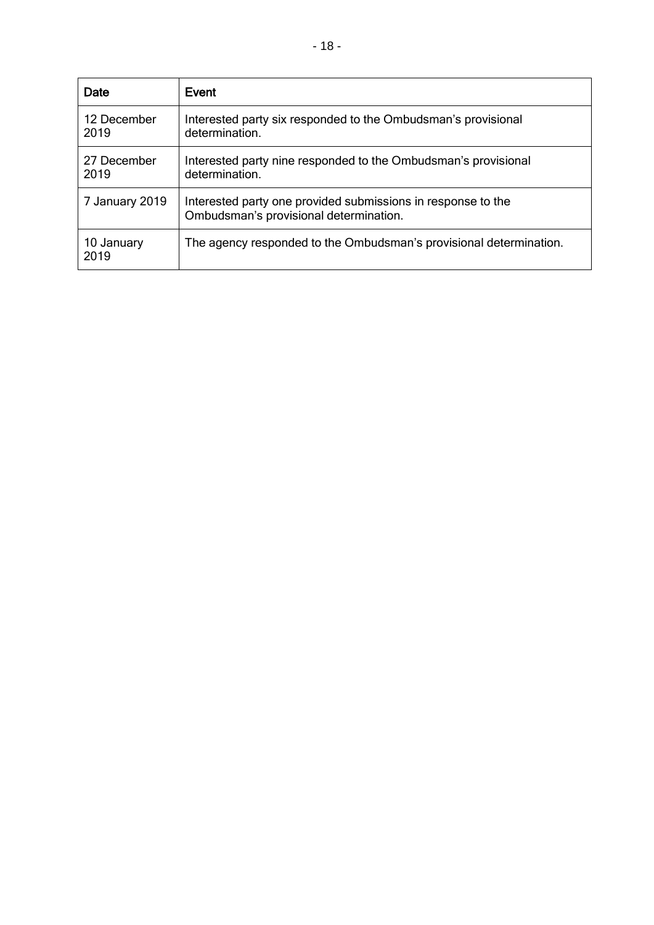| Date                | Event                                                                                                  |
|---------------------|--------------------------------------------------------------------------------------------------------|
| 12 December<br>2019 | Interested party six responded to the Ombudsman's provisional<br>determination.                        |
| 27 December<br>2019 | Interested party nine responded to the Ombudsman's provisional<br>determination.                       |
| 7 January 2019      | Interested party one provided submissions in response to the<br>Ombudsman's provisional determination. |
| 10 January<br>2019  | The agency responded to the Ombudsman's provisional determination.                                     |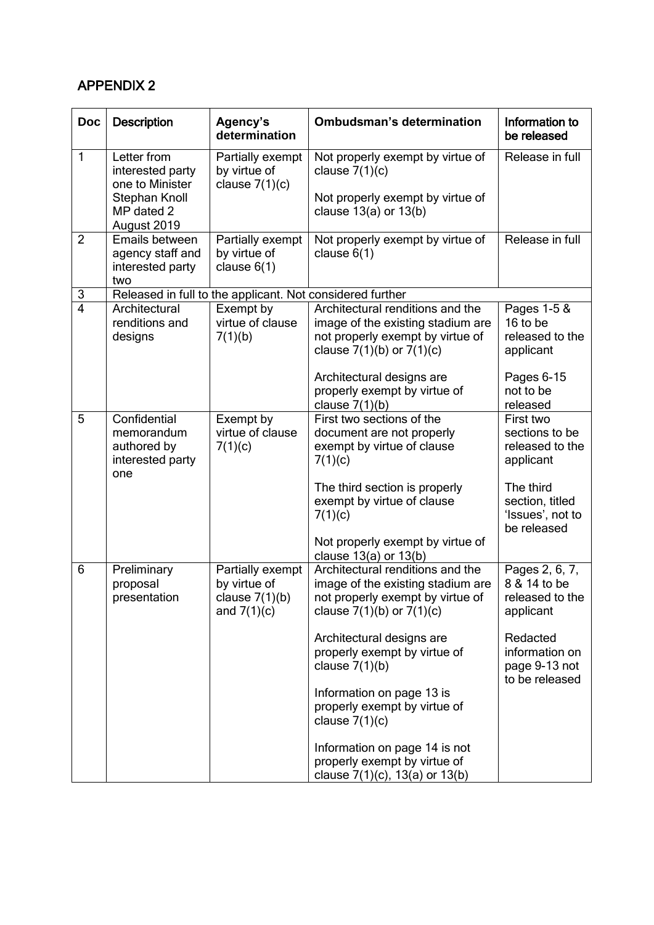# APPENDIX 2

| <b>Doc</b>     | <b>Description</b>                                                                               | Agency's<br>determination                                             | <b>Ombudsman's determination</b>                                                                                                           | Information to<br>be released                                   |
|----------------|--------------------------------------------------------------------------------------------------|-----------------------------------------------------------------------|--------------------------------------------------------------------------------------------------------------------------------------------|-----------------------------------------------------------------|
| 1              | Letter from<br>interested party<br>one to Minister<br>Stephan Knoll<br>MP dated 2<br>August 2019 | Partially exempt<br>by virtue of<br>clause $7(1)(c)$                  | Not properly exempt by virtue of<br>clause $7(1)(c)$<br>Not properly exempt by virtue of<br>clause $13(a)$ or $13(b)$                      | Release in full                                                 |
| $\overline{2}$ | Emails between<br>agency staff and<br>interested party<br>two                                    | Partially exempt<br>by virtue of<br>clause $6(1)$                     | Not properly exempt by virtue of<br>clause $6(1)$                                                                                          | Release in full                                                 |
| 3              |                                                                                                  |                                                                       | Released in full to the applicant. Not considered further                                                                                  |                                                                 |
| $\overline{4}$ | Architectural<br>renditions and<br>designs                                                       | Exempt by<br>virtue of clause<br>7(1)(b)                              | Architectural renditions and the<br>image of the existing stadium are<br>not properly exempt by virtue of<br>clause $7(1)(b)$ or $7(1)(c)$ | Pages $1-5$ &<br>16 to be<br>released to the<br>applicant       |
|                |                                                                                                  |                                                                       | Architectural designs are<br>properly exempt by virtue of<br>clause $7(1)(b)$                                                              | Pages 6-15<br>not to be<br>released                             |
| 5              | Confidential<br>memorandum<br>authored by<br>interested party<br>one                             | Exempt by<br>virtue of clause<br>7(1)(c)                              | First two sections of the<br>document are not properly<br>exempt by virtue of clause<br>7(1)(c)                                            | First two<br>sections to be<br>released to the<br>applicant     |
|                |                                                                                                  |                                                                       | The third section is properly<br>exempt by virtue of clause<br>7(1)(c)                                                                     | The third<br>section, titled<br>'Issues', not to<br>be released |
|                |                                                                                                  |                                                                       | Not properly exempt by virtue of<br>clause 13(a) or 13(b)                                                                                  |                                                                 |
| 6              | Preliminary<br>proposal<br>presentation                                                          | Partially exempt<br>by virtue of<br>clause $7(1)(b)$<br>and $7(1)(c)$ | Architectural renditions and the<br>image of the existing stadium are<br>not properly exempt by virtue of<br>clause $7(1)(b)$ or $7(1)(c)$ | Pages 2, 6, 7,<br>8 & 14 to be<br>released to the<br>applicant  |
|                |                                                                                                  |                                                                       | Architectural designs are<br>properly exempt by virtue of<br>clause $7(1)(b)$                                                              | Redacted<br>information on<br>page 9-13 not<br>to be released   |
|                |                                                                                                  |                                                                       | Information on page 13 is<br>properly exempt by virtue of<br>clause $7(1)(c)$                                                              |                                                                 |
|                |                                                                                                  |                                                                       | Information on page 14 is not<br>properly exempt by virtue of<br>clause $7(1)(c)$ , 13(a) or 13(b)                                         |                                                                 |